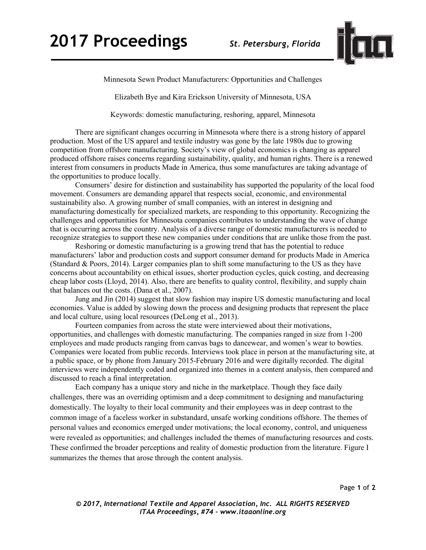

Minnesota Sewn Product Manufacturers: Opportunities and Challenges

Elizabeth Bye and Kira Erickson University of Minnesota, USA

Keywords: domestic manufacturing, reshoring, apparel, Minnesota

There are significant changes occurring in Minnesota where there is a strong history of apparel production. Most of the US apparel and textile industry was gone by the late 1980s due to growing competition from offshore manufacturing. Society's view of global economics is changing as apparel produced offshore raises concerns regarding sustainability, quality, and human rights. There is a renewed interest from consumers in products Made in America, thus some manufactures are taking advantage of the opportunities to produce locally.

Consumers' desire for distinction and sustainability has supported the popularity of the local food movement. Consumers are demanding apparel that respects social, economic, and environmental sustainability also. A growing number of small companies, with an interest in designing and manufacturing domestically for specialized markets, are responding to this opportunity. Recognizing the challenges and opportunities for Minnesota companies contributes to understanding the wave of change that is occurring across the country. Analysis of a diverse range of domestic manufacturers is needed to recognize strategies to support these new companies under conditions that are unlike those from the past.

 Reshoring or domestic manufacturing is a growing trend that has the potential to reduce manufacturers' labor and production costs and support consumer demand for products Made in America (Standard & Poors, 2014). Larger companies plan to shift some manufacturing to the US as they have concerns about accountability on ethical issues, shorter production cycles, quick costing, and decreasing cheap labor costs (Lloyd, 2014). Also, there are benefits to quality control, flexibility, and supply chain that balances out the costs. (Dana et al., 2007).

Jung and Jin (2014) suggest that slow fashion may inspire US domestic manufacturing and local economies. Value is added by slowing down the process and designing products that represent the place and local culture, using local resources (DeLong et al., 2013).

Fourteen companies from across the state were interviewed about their motivations, opportunities, and challenges with domestic manufacturing. The companies ranged in size from 1-200 employees and made products ranging from canvas bags to dancewear, and women's wear to bowties. Companies were located from public records. Interviews took place in person at the manufacturing site, at a public space, or by phone from January 2015-February 2016 and were digitally recorded. The digital interviews were independently coded and organized into themes in a content analysis, then compared and discussed to reach a final interpretation.

Each company has a unique story and niche in the marketplace. Though they face daily challenges, there was an overriding optimism and a deep commitment to designing and manufacturing domestically. The loyalty to their local community and their employees was in deep contrast to the common image of a faceless worker in substandard, unsafe working conditions offshore. The themes of personal values and economics emerged under motivations; the local economy, control, and uniqueness were revealed as opportunities; and challenges included the themes of manufacturing resources and costs. These confirmed the broader perceptions and reality of domestic production from the literature. Figure I summarizes the themes that arose through the content analysis.